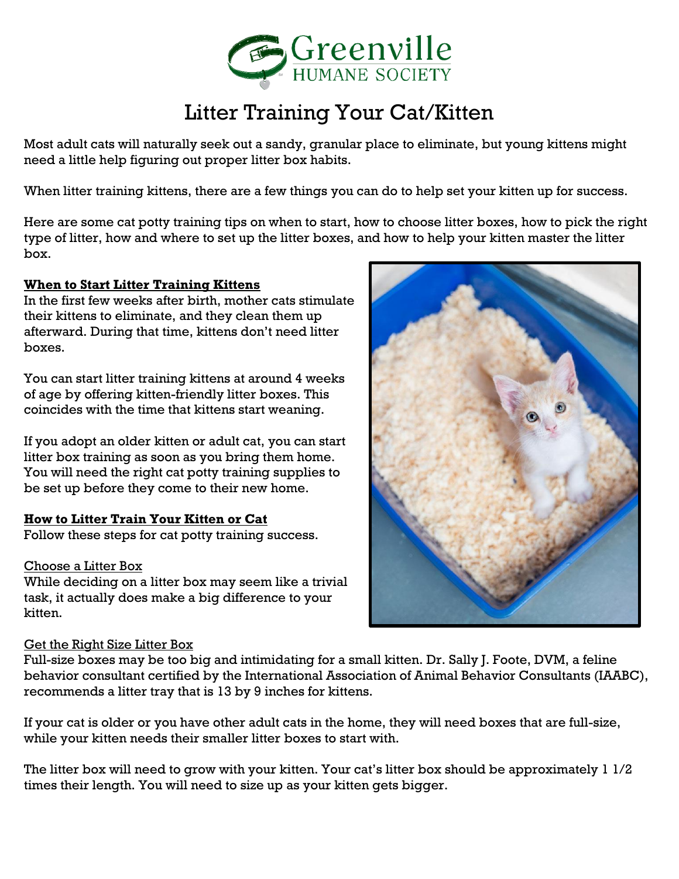

# Litter Training Your Cat/Kitten

Most adult cats will naturally seek out a sandy, granular place to eliminate, but young kittens might need a little help figuring out proper litter box habits.

When litter training kittens, there are a few things you can do to help set your kitten up for success.

Here are some cat potty training tips on when to start, how to choose litter boxes, how to pick the right type of litter, how and where to set up the litter boxes, and how to help your kitten master the litter box.

## **When to Start Litter Training Kittens**

In the first few weeks after birth, mother cats stimulate their kittens to eliminate, and they clean them up afterward. During that time, kittens don't need litter boxes.

You can start litter training kittens at around 4 weeks of age by offering kitten-friendly litter boxes. This coincides with the time that kittens start weaning.

If you adopt an older kitten or adult cat, you can start litter box training as soon as you bring them home. You will need the right cat potty training supplies to be set up before they come to their new home.

### **How to Litter Train Your Kitten or Cat**

Follow these steps for cat potty training success.

### Choose a Litter Box

While deciding on a litter box may seem like a trivial task, it actually does make a big difference to your kitten.

### Get the Right Size Litter Box

Full-size boxes may be too big and intimidating for a small kitten. Dr. Sally J. Foote, DVM, a feline behavior consultant certified by the International Association of Animal Behavior Consultants (IAABC), recommends a litter tray that is 13 by 9 inches for kittens.

If your cat is older or you have other adult cats in the home, they will need boxes that are full-size, while your kitten needs their smaller litter boxes to start with.

The litter box will need to grow with your kitten. Your cat's litter box should be approximately 1 1/2 times their length. You will need to size up as your kitten gets bigger.

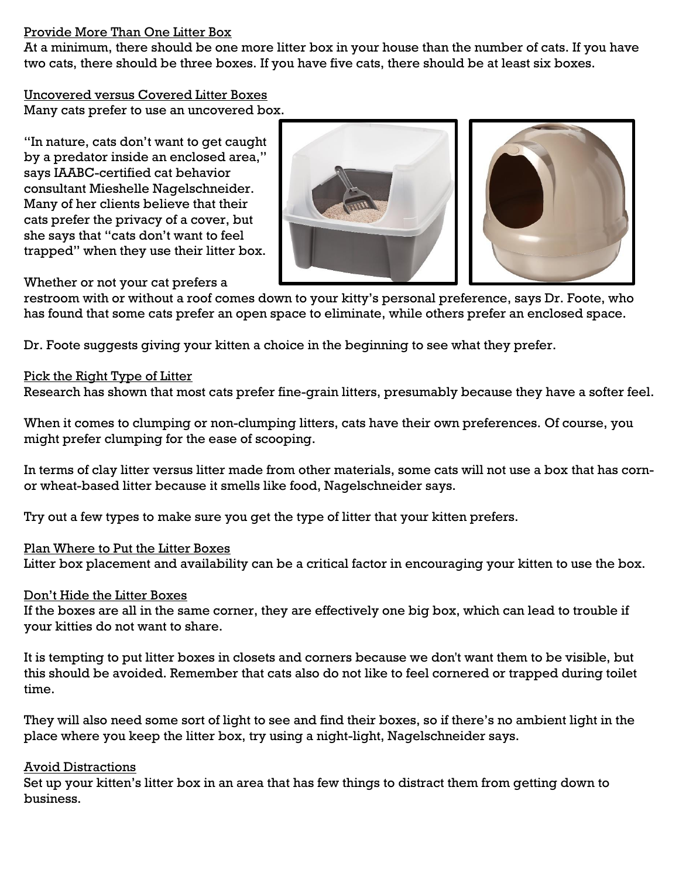### Provide More Than One Litter Box

At a minimum, there should be one more litter box in your house than the number of cats. If you have two cats, there should be three boxes. If you have five cats, there should be at least six boxes.

Uncovered versus Covered Litter Boxes Many cats prefer to use an uncovered box.

"In nature, cats don't want to get caught by a predator inside an enclosed area," says IAABC-certified cat behavior consultant Mieshelle Nagelschneider. Many of her clients believe that their cats prefer the privacy of a cover, but she says that "cats don't want to feel trapped" when they use their litter box.





Whether or not your cat prefers a

restroom with or without a roof comes down to your kitty's personal preference, says Dr. Foote, who has found that some cats prefer an open space to eliminate, while others prefer an enclosed space.

Dr. Foote suggests giving your kitten a choice in the beginning to see what they prefer.

### Pick the Right Type of Litter

Research has shown that most cats prefer fine-grain litters, presumably because they have a softer feel.

When it comes to clumping or non-clumping litters, cats have their own preferences. Of course, you might prefer clumping for the ease of scooping.

In terms of clay litter versus litter made from other materials, some cats will not use a box that has cornor wheat-based litter because it smells like food, Nagelschneider says.

Try out a few types to make sure you get the type of litter that your kitten prefers.

### Plan Where to Put the Litter Boxes

Litter box placement and availability can be a critical factor in encouraging your kitten to use the box.

### Don't Hide the Litter Boxes

If the boxes are all in the same corner, they are effectively one big box, which can lead to trouble if your kitties do not want to share.

It is tempting to put litter boxes in closets and corners because we don't want them to be visible, but this should be avoided. Remember that cats also do not like to feel cornered or trapped during toilet time.

They will also need some sort of light to see and find their boxes, so if there's no ambient light in the place where you keep the litter box, try using a night-light, Nagelschneider says.

### Avoid Distractions

Set up your kitten's litter box in an area that has few things to distract them from getting down to business.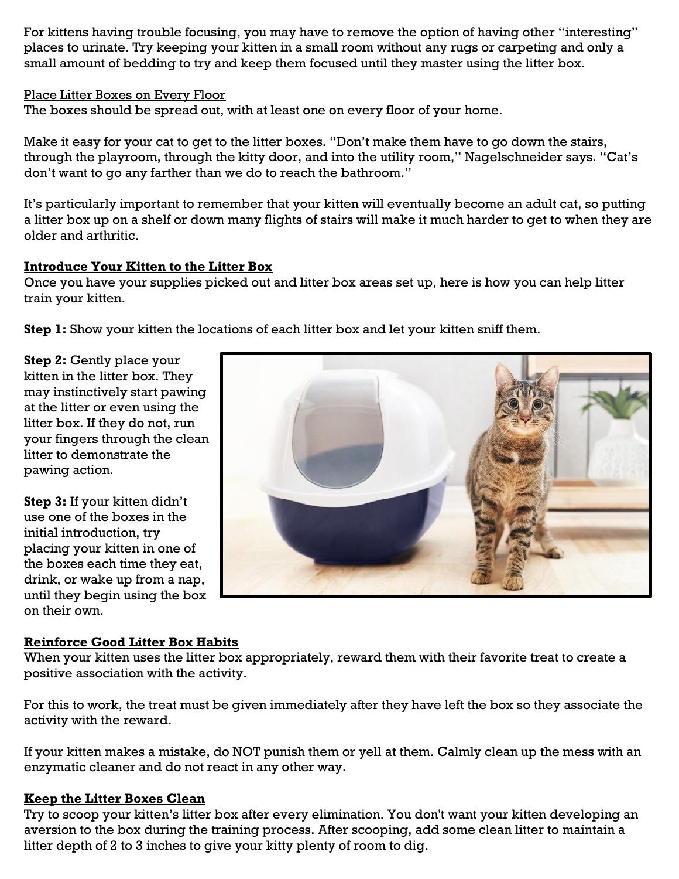For kittens having trouble focusing, you may have to remove the option of having other "interesting" places to urinate. Try keeping your kitten in a small room without any rugs or carpeting and only a small amount of bedding to try and keep them focused until they master using the litter box.

Place Litter Boxes on Every Floor

The boxes should be spread out, with at least one on every floor of your home.

Make it easy for your cat to get to the litter boxes. "Don't make them have to go down the stairs, through the playroom, through the kitty door, and into the utility room," Nagelschneider says. "Cat's don't want to go any farther than we do to reach the bathroom."

It's particularly important to remember that your kitten will eventually become an adult cat, so putting a litter box up on a shelf or down many flights of stairs will make it much harder to get to when they are older and arthritic.

## **Introduce Your Kitten to the Litter Box**

Once you have your supplies picked out and litter box areas set up, here is how you can help litter train your kitten.

**Step 1:** Show your kitten the locations of each litter box and let your kitten sniff them.

**Step 2:** Gently place your kitten in the litter box. They may instinctively start pawing at the litter or even using the litter box. If they do not, run your fingers through the clean litter to demonstrate the pawing action.

**Step 3:** If your kitten didn't use one of the boxes in the initial introduction, try placing your kitten in one of the boxes each time they eat, drink, or wake up from a nap, until they begin using the box on their own.



### **Reinforce Good Litter Box Habits**

When your kitten uses the litter box appropriately, reward them with their favorite treat to create a positive association with the activity.

For this to work, the treat must be given immediately after they have left the box so they associate the activity with the reward.

If your kitten makes a mistake, do NOT punish them or yell at them. Calmly clean up the mess with an enzymatic cleaner and do not react in any other way.

### **Keep the Litter Boxes Clean**

Try to scoop your kitten's litter box after every elimination. You don't want your kitten developing an aversion to the box during the training process. After scooping, add some clean litter to maintain a litter depth of 2 to 3 inches to give your kitty plenty of room to dig.